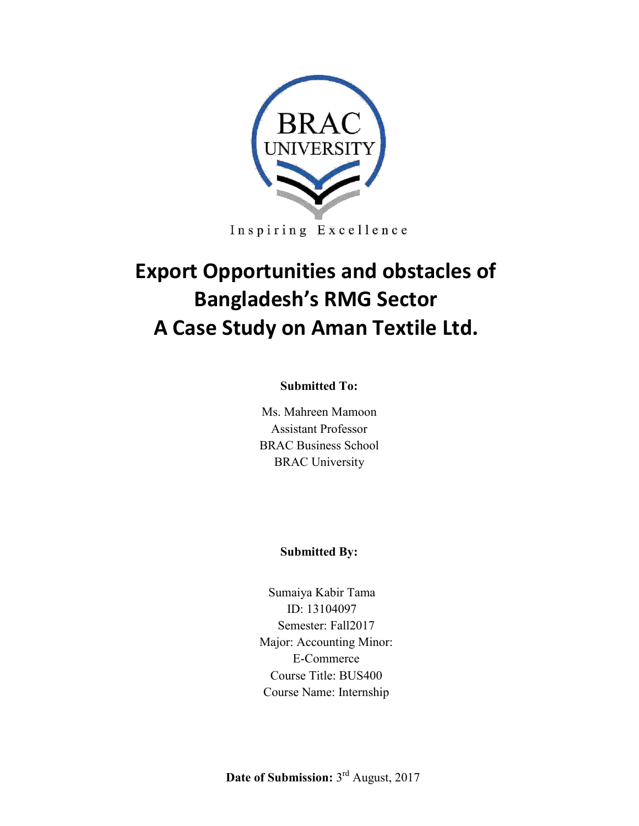

Inspiring Excellence

# **Export Opportunities and obstacles of Bangladesh's RMG Sector A Case Study on Aman Textile Ltd.**

#### **Submitted To:**

Ms. Mahreen Mamoon Assistant Professor BRAC Business School BRAC University

#### **Submitted By:**

Sumaiya Kabir Tama ID: 13104097 Semester: Fall2017 Major: Accounting Minor: E-Commerce Course Title: BUS400 Course Name: Internship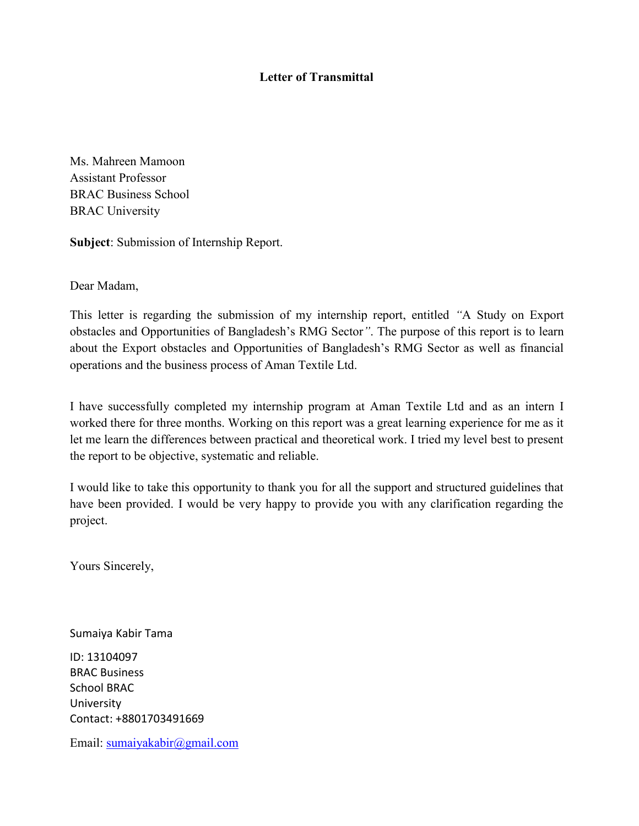#### **Letter of Transmittal**

Ms. Mahreen Mamoon Assistant Professor BRAC Business School BRAC University

**Subject**: Submission of Internship Report.

Dear Madam,

This letter is regarding the submission of my internship report, entitled *"*A Study on Export obstacles and Opportunities of Bangladesh's RMG Sector*"*. The purpose of this report is to learn about the Export obstacles and Opportunities of Bangladesh's RMG Sector as well as financial operations and the business process of Aman Textile Ltd.

I have successfully completed my internship program at Aman Textile Ltd and as an intern I worked there for three months. Working on this report was a great learning experience for me as it let me learn the differences between practical and theoretical work. I tried my level best to present the report to be objective, systematic and reliable.

I would like to take this opportunity to thank you for all the support and structured guidelines that have been provided. I would be very happy to provide you with any clarification regarding the project.

Yours Sincerely,

Sumaiya Kabir Tama

ID: 13104097 BRAC Business School BRAC University Contact: +8801703491669

Email: [sumaiyakabir@gmail.com](mailto:sumaiyakabir@gmail.com)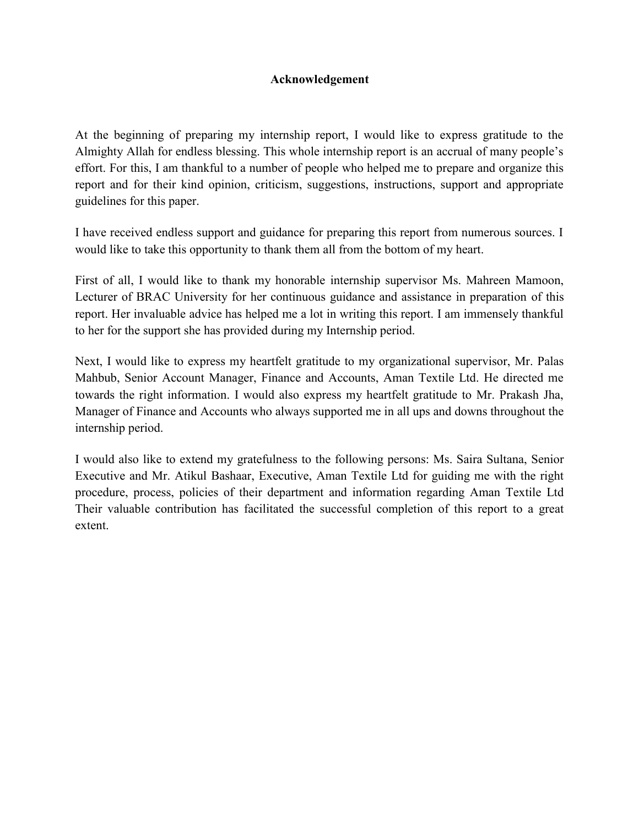#### **Acknowledgement**

At the beginning of preparing my internship report, I would like to express gratitude to the Almighty Allah for endless blessing. This whole internship report is an accrual of many people's effort. For this, I am thankful to a number of people who helped me to prepare and organize this report and for their kind opinion, criticism, suggestions, instructions, support and appropriate guidelines for this paper.

I have received endless support and guidance for preparing this report from numerous sources. I would like to take this opportunity to thank them all from the bottom of my heart.

First of all, I would like to thank my honorable internship supervisor Ms. Mahreen Mamoon, Lecturer of BRAC University for her continuous guidance and assistance in preparation of this report. Her invaluable advice has helped me a lot in writing this report. I am immensely thankful to her for the support she has provided during my Internship period.

Next, I would like to express my heartfelt gratitude to my organizational supervisor, Mr. Palas Mahbub, Senior Account Manager, Finance and Accounts, Aman Textile Ltd. He directed me towards the right information. I would also express my heartfelt gratitude to Mr. Prakash Jha, Manager of Finance and Accounts who always supported me in all ups and downs throughout the internship period.

I would also like to extend my gratefulness to the following persons: Ms. Saira Sultana, Senior Executive and Mr. Atikul Bashaar, Executive, Aman Textile Ltd for guiding me with the right procedure, process, policies of their department and information regarding Aman Textile Ltd Their valuable contribution has facilitated the successful completion of this report to a great extent.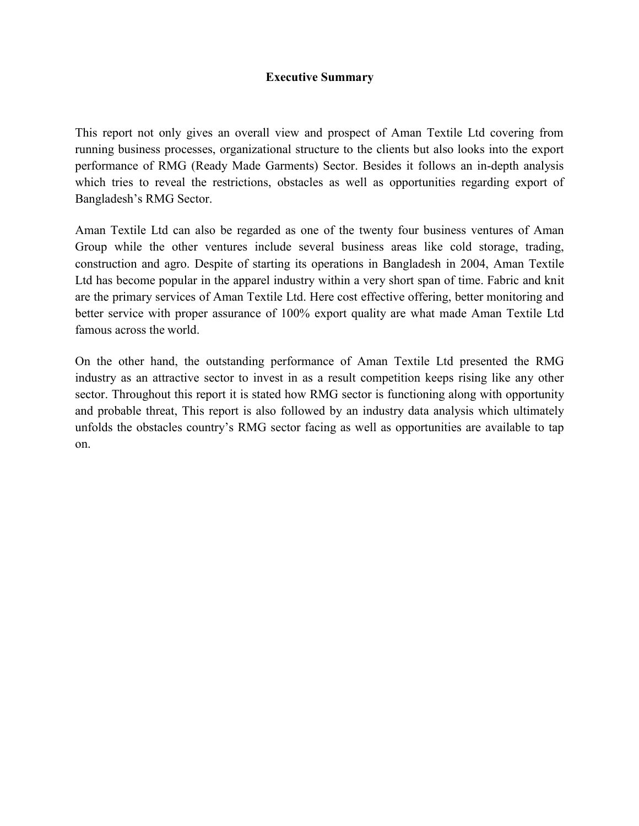#### **Executive Summary**

This report not only gives an overall view and prospect of Aman Textile Ltd covering from running business processes, organizational structure to the clients but also looks into the export performance of RMG (Ready Made Garments) Sector. Besides it follows an in-depth analysis which tries to reveal the restrictions, obstacles as well as opportunities regarding export of Bangladesh's RMG Sector.

Aman Textile Ltd can also be regarded as one of the twenty four business ventures of Aman Group while the other ventures include several business areas like cold storage, trading, construction and agro. Despite of starting its operations in Bangladesh in 2004, Aman Textile Ltd has become popular in the apparel industry within a very short span of time. Fabric and knit are the primary services of Aman Textile Ltd. Here cost effective offering, better monitoring and better service with proper assurance of 100% export quality are what made Aman Textile Ltd famous across the world.

On the other hand, the outstanding performance of Aman Textile Ltd presented the RMG industry as an attractive sector to invest in as a result competition keeps rising like any other sector. Throughout this report it is stated how RMG sector is functioning along with opportunity and probable threat, This report is also followed by an industry data analysis which ultimately unfolds the obstacles country's RMG sector facing as well as opportunities are available to tap on.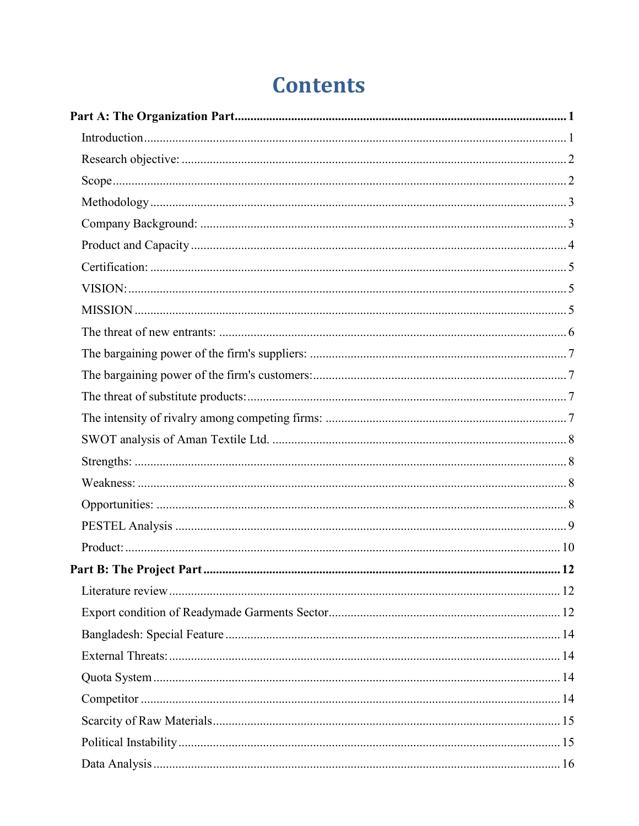# **Contents**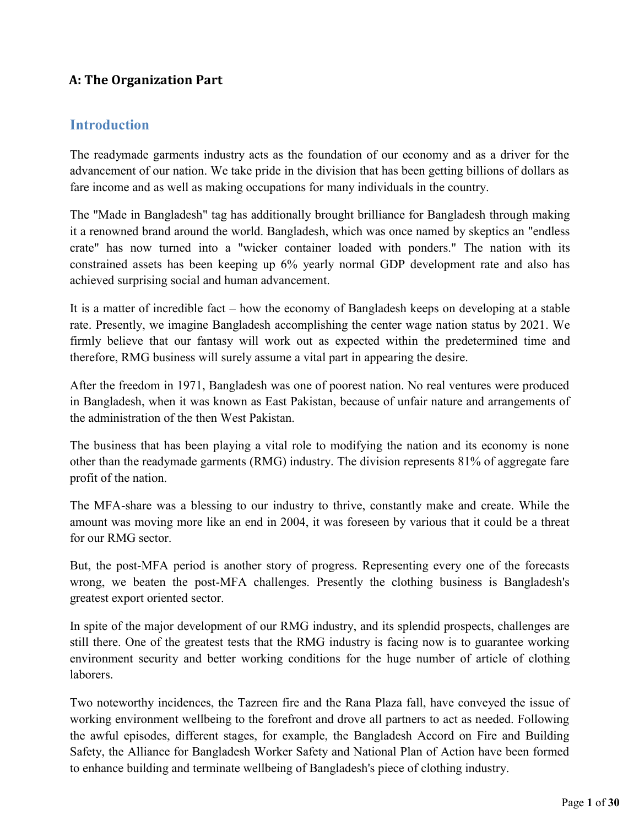## **A: The Organization Part**

### <span id="page-6-0"></span>**Introduction**

The readymade garments industry acts as the foundation of our economy and as a driver for the advancement of our nation. We take pride in the division that has been getting billions of dollars as fare income and as well as making occupations for many individuals in the country.

The "Made in Bangladesh" tag has additionally brought brilliance for Bangladesh through making it a renowned brand around the world. Bangladesh, which was once named by skeptics an "endless crate" has now turned into a "wicker container loaded with ponders." The nation with its constrained assets has been keeping up 6% yearly normal GDP development rate and also has achieved surprising social and human advancement.

It is a matter of incredible fact – how the economy of Bangladesh keeps on developing at a stable rate. Presently, we imagine Bangladesh accomplishing the center wage nation status by 2021. We firmly believe that our fantasy will work out as expected within the predetermined time and therefore, RMG business will surely assume a vital part in appearing the desire.

After the freedom in 1971, Bangladesh was one of poorest nation. No real ventures were produced in Bangladesh, when it was known as East Pakistan, because of unfair nature and arrangements of the administration of the then West Pakistan.

The business that has been playing a vital role to modifying the nation and its economy is none other than the readymade garments (RMG) industry. The division represents 81% of aggregate fare profit of the nation.

The MFA-share was a blessing to our industry to thrive, constantly make and create. While the amount was moving more like an end in 2004, it was foreseen by various that it could be a threat for our RMG sector.

But, the post-MFA period is another story of progress. Representing every one of the forecasts wrong, we beaten the post-MFA challenges. Presently the clothing business is Bangladesh's greatest export oriented sector.

In spite of the major development of our RMG industry, and its splendid prospects, challenges are still there. One of the greatest tests that the RMG industry is facing now is to guarantee working environment security and better working conditions for the huge number of article of clothing laborers.

Two noteworthy incidences, the Tazreen fire and the Rana Plaza fall, have conveyed the issue of working environment wellbeing to the forefront and drove all partners to act as needed. Following the awful episodes, different stages, for example, the Bangladesh Accord on Fire and Building Safety, the Alliance for Bangladesh Worker Safety and National Plan of Action have been formed to enhance building and terminate wellbeing of Bangladesh's piece of clothing industry.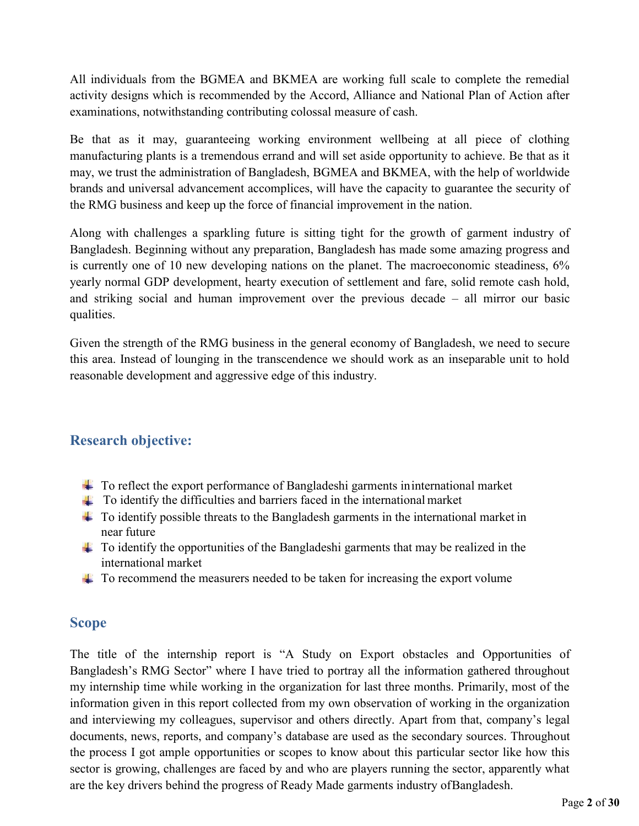All individuals from the BGMEA and BKMEA are working full scale to complete the remedial activity designs which is recommended by the Accord, Alliance and National Plan of Action after examinations, notwithstanding contributing colossal measure of cash.

Be that as it may, guaranteeing working environment wellbeing at all piece of clothing manufacturing plants is a tremendous errand and will set aside opportunity to achieve. Be that as it may, we trust the administration of Bangladesh, BGMEA and BKMEA, with the help of worldwide brands and universal advancement accomplices, will have the capacity to guarantee the security of the RMG business and keep up the force of financial improvement in the nation.

Along with challenges a sparkling future is sitting tight for the growth of garment industry of Bangladesh. Beginning without any preparation, Bangladesh has made some amazing progress and is currently one of 10 new developing nations on the planet. The macroeconomic steadiness, 6% yearly normal GDP development, hearty execution of settlement and fare, solid remote cash hold, and striking social and human improvement over the previous decade – all mirror our basic qualities.

Given the strength of the RMG business in the general economy of Bangladesh, we need to secure this area. Instead of lounging in the transcendence we should work as an inseparable unit to hold reasonable development and aggressive edge of this industry.

## <span id="page-7-0"></span>**Research objective:**

- $\pm$  To reflect the export performance of Bangladeshi garments in international market
- $\pm$  To identify the difficulties and barriers faced in the international market
- $\pm$  To identify possible threats to the Bangladesh garments in the international market in near future
- $\pm$  To identify the opportunities of the Bangladeshi garments that may be realized in the international market
- $\uparrow$  To recommend the measurers needed to be taken for increasing the export volume

#### <span id="page-7-1"></span>**Scope**

The title of the internship report is "A Study on Export obstacles and Opportunities of Bangladesh's RMG Sector" where I have tried to portray all the information gathered throughout my internship time while working in the organization for last three months. Primarily, most of the information given in this report collected from my own observation of working in the organization and interviewing my colleagues, supervisor and others directly. Apart from that, company's legal documents, news, reports, and company's database are used as the secondary sources. Throughout the process I got ample opportunities or scopes to know about this particular sector like how this sector is growing, challenges are faced by and who are players running the sector, apparently what are the key drivers behind the progress of Ready Made garments industry of Bangladesh.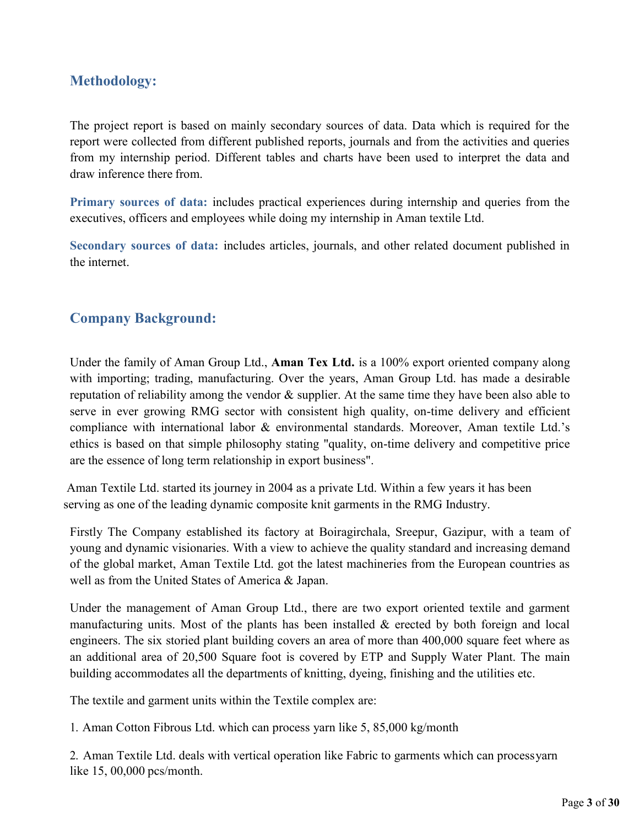## <span id="page-8-0"></span>**Methodology:**

The project report is based on mainly secondary sources of data. Data which is required for the report were collected from different published reports, journals and from the activities and queries from my internship period. Different tables and charts have been used to interpret the data and draw inference there from.

**Primary sources of data:** includes practical experiences during internship and queries from the executives, officers and employees while doing my internship in Aman textile Ltd.

**Secondary sources of data:** includes articles, journals, and other related document published in the internet.

## <span id="page-8-1"></span>**Company Background:**

Under the family of Aman Group Ltd., **Aman Tex Ltd.** is a 100% export oriented company along with importing; trading, manufacturing. Over the years, Aman Group Ltd. has made a desirable reputation of reliability among the vendor & supplier. At the same time they have been also able to serve in ever growing RMG sector with consistent high quality, on-time delivery and efficient compliance with international labor & environmental standards. Moreover, Aman textile Ltd.'s ethics is based on that simple philosophy stating "quality, on-time delivery and competitive price are the essence of long term relationship in export business".

Aman Textile Ltd. started its journey in 2004 as a private Ltd. Within a few years it has been serving as one of the leading dynamic composite knit garments in the RMG Industry.

Firstly The Company established its factory at Boiragirchala, Sreepur, Gazipur, with a team of young and dynamic visionaries. With a view to achieve the quality standard and increasing demand of the global market, Aman Textile Ltd. got the latest machineries from the European countries as well as from the United States of America & Japan.

Under the management of Aman Group Ltd., there are two export oriented textile and garment manufacturing units. Most of the plants has been installed  $\&$  erected by both foreign and local engineers. The six storied plant building covers an area of more than 400,000 square feet where as an additional area of 20,500 Square foot is covered by ETP and Supply Water Plant. The main building accommodates all the departments of knitting, dyeing, finishing and the utilities etc.

The textile and garment units within the Textile complex are:

1. Aman Cotton Fibrous Ltd. which can process yarn like 5, 85,000 kg/month

2. Aman Textile Ltd. deals with vertical operation like Fabric to garments which can process yarn like 15, 00,000 pcs/month.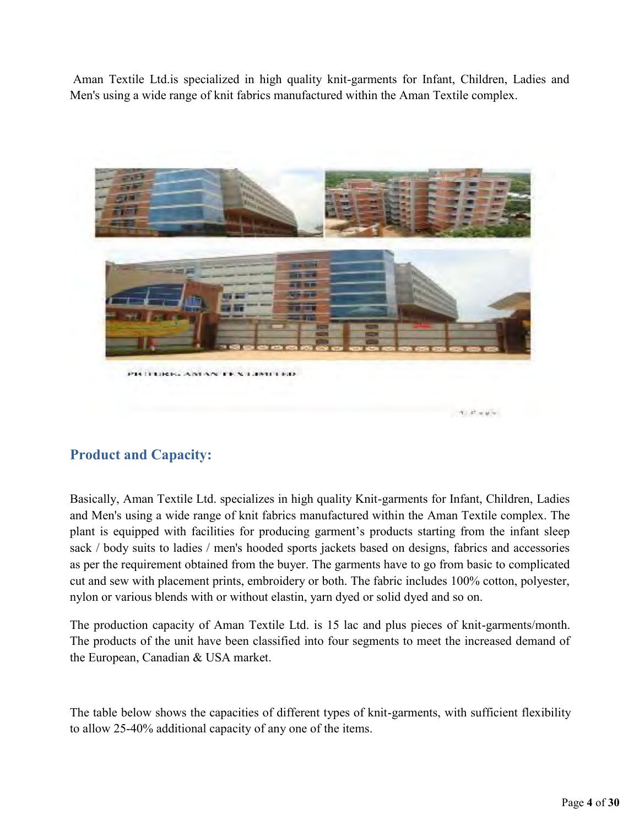Aman Textile Ltd.is specialized in high quality knit-garments for Infant, Children, Ladies and Men's using a wide range of knit fabrics manufactured within the Aman Textile complex.



## <span id="page-9-0"></span>**Product and Capacity:**

Basically, Aman Textile Ltd. specializes in high quality Knit-garments for Infant, Children, Ladies and Men's using a wide range of knit fabrics manufactured within the Aman Textile complex. The plant is equipped with facilities for producing garment's products starting from the infant sleep sack / body suits to ladies / men's hooded sports jackets based on designs, fabrics and accessories as per the requirement obtained from the buyer. The garments have to go from basic to complicated cut and sew with placement prints, embroidery or both. The fabric includes 100% cotton, polyester, nylon or various blends with or without elastin, yarn dyed or solid dyed and so on.

The production capacity of Aman Textile Ltd. is 15 lac and plus pieces of knit-garments/month. The products of the unit have been classified into four segments to meet the increased demand of the European, Canadian & USA market.

The table below shows the capacities of different types of knit-garments, with sufficient flexibility to allow 25-40% additional capacity of any one of the items.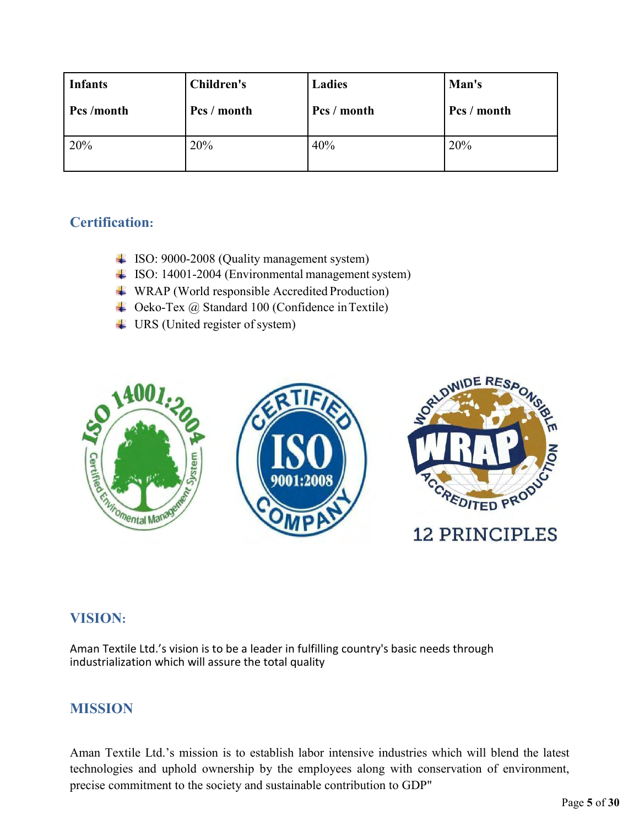| <b>Infants</b> | <b>Children's</b> | <b>Ladies</b> | Man's       |
|----------------|-------------------|---------------|-------------|
| Pcs/month      | Pcs / month       | Pcs / month   | Pcs / month |
| 20%            | 20%               | 40%           | 20%         |

## <span id="page-10-0"></span>**Certification:**

- ISO: 9000-2008 (Quality management system)
- ISO: 14001-2004 (Environmental management system)
- WRAP (World responsible Accredited Production)
- Ceko-Tex @ Standard 100 (Confidence in Textile)
- URS (United register of system)



## <span id="page-10-1"></span>**VISION:**

Aman Textile Ltd.'s vision is to be a leader in fulfilling country's basic needs through industrialization which will assure the total quality

## <span id="page-10-2"></span>**MISSION**

Aman Textile Ltd.'s mission is to establish labor intensive industries which will blend the latest technologies and uphold ownership by the employees along with conservation of environment, precise commitment to the society and sustainable contribution to GDP"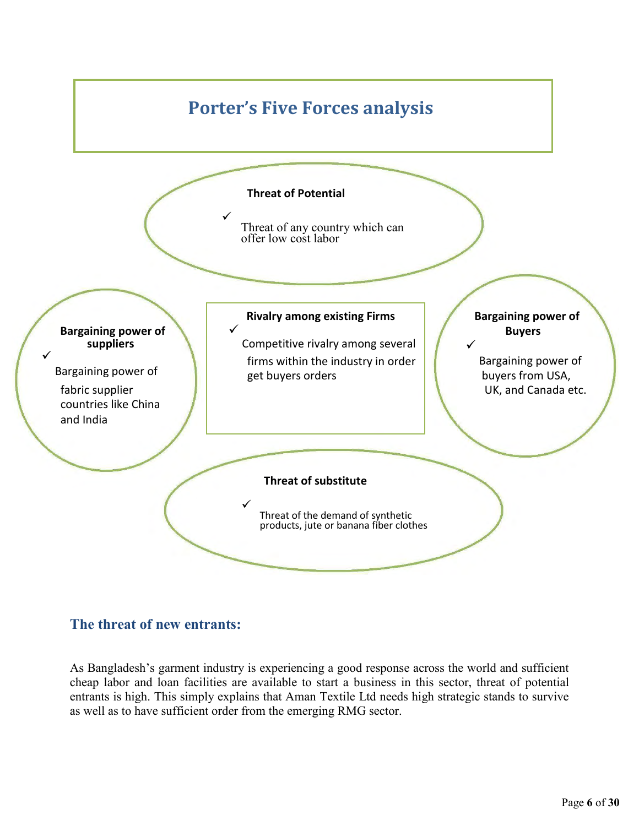

## <span id="page-11-0"></span>**The threat of new entrants:**

As Bangladesh's garment industry is experiencing a good response across the world and sufficient cheap labor and loan facilities are available to start a business in this sector, threat of potential entrants is high. This simply explains that Aman Textile Ltd needs high strategic stands to survive as well as to have sufficient order from the emerging RMG sector.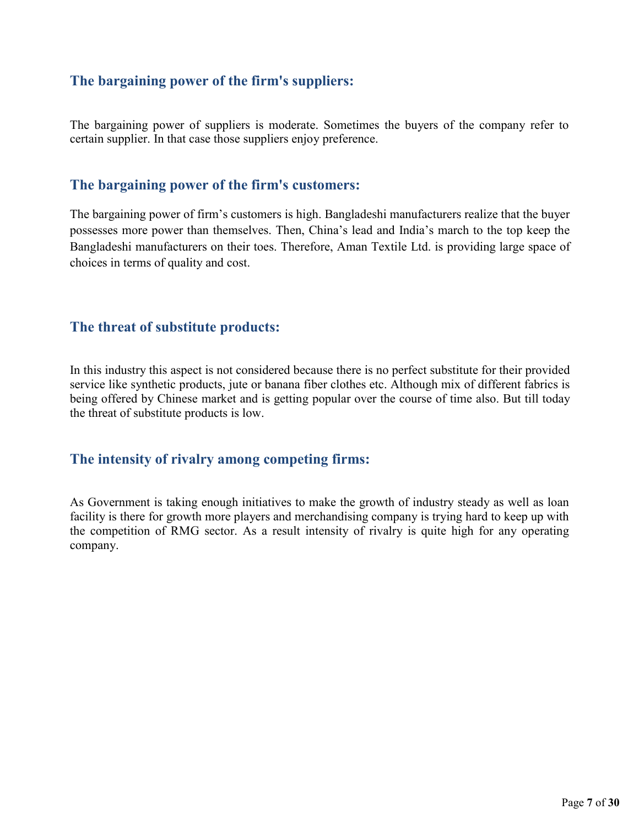## <span id="page-12-0"></span>**The bargaining power of the firm's suppliers:**

The bargaining power of suppliers is moderate. Sometimes the buyers of the company refer to certain supplier. In that case those suppliers enjoy preference.

#### <span id="page-12-1"></span>**The bargaining power of the firm's customers:**

The bargaining power of firm's customers is high. Bangladeshi manufacturers realize that the buyer possesses more power than themselves. Then, China's lead and India's march to the top keep the Bangladeshi manufacturers on their toes. Therefore, Aman Textile Ltd. is providing large space of choices in terms of quality and cost.

#### <span id="page-12-2"></span>**The threat of substitute products:**

In this industry this aspect is not considered because there is no perfect substitute for their provided service like synthetic products, jute or banana fiber clothes etc. Although mix of different fabrics is being offered by Chinese market and is getting popular over the course of time also. But till today the threat of substitute products is low.

#### <span id="page-12-3"></span>**The intensity of rivalry among competing firms:**

As Government is taking enough initiatives to make the growth of industry steady as well as loan facility is there for growth more players and merchandising company is trying hard to keep up with the competition of RMG sector. As a result intensity of rivalry is quite high for any operating company.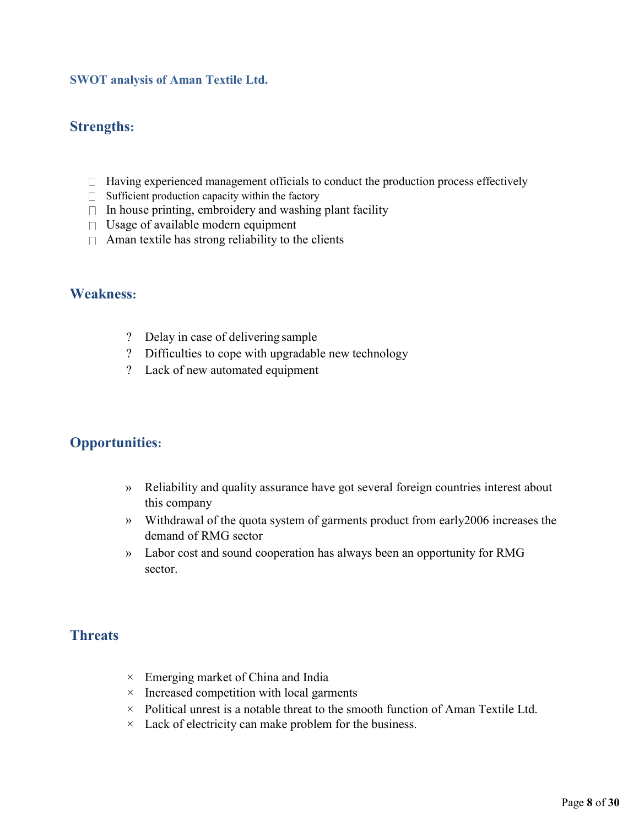#### <span id="page-13-0"></span>**SWOT analysis of Aman Textile Ltd.**

#### <span id="page-13-1"></span>**Strengths:**

- $\Box$  Having experienced management officials to conduct the production process effectively
- $\Box$  Sufficient production capacity within the factory
- $\Box$  In house printing, embroidery and washing plant facility
- $\Box$  Usage of available modern equipment
- $\Box$  Aman textile has strong reliability to the clients

#### <span id="page-13-2"></span>**Weakness:**

- ? Delay in case of delivering sample
- ? Difficulties to cope with upgradable new technology
- ? Lack of new automated equipment

## <span id="page-13-3"></span>**Opportunities:**

- » Reliability and quality assurance have got several foreign countries interest about this company
- » Withdrawal of the quota system of garments product from early2006 increases the demand of RMG sector
- » Labor cost and sound cooperation has always been an opportunity for RMG sector.

#### **Threats**

- $\times$  Emerging market of China and India
- $\times$  Increased competition with local garments
- $\times$  Political unrest is a notable threat to the smooth function of Aman Textile Ltd.
- $\times$  Lack of electricity can make problem for the business.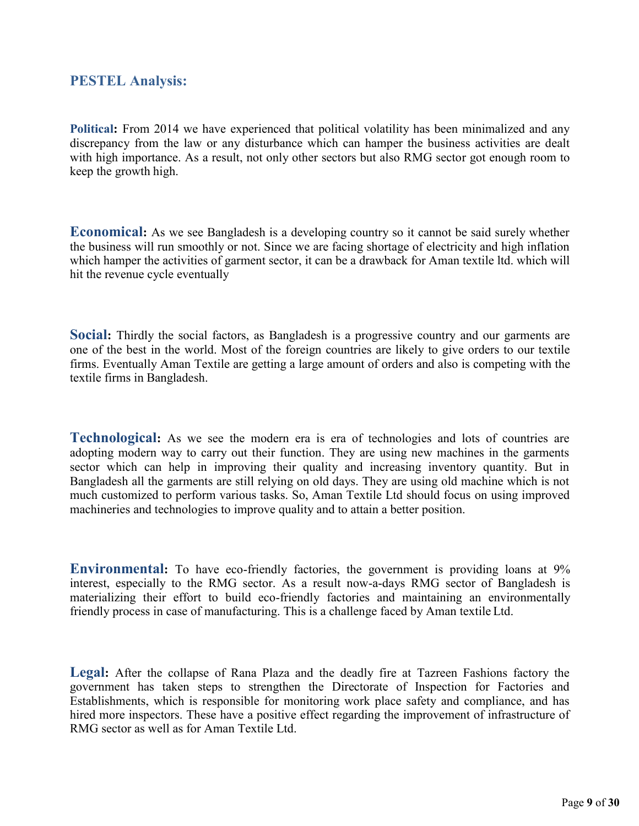#### <span id="page-14-0"></span>**PESTEL Analysis:**

**Political:** From 2014 we have experienced that political volatility has been minimalized and any discrepancy from the law or any disturbance which can hamper the business activities are dealt with high importance. As a result, not only other sectors but also RMG sector got enough room to keep the growth high.

**Economical:** As we see Bangladesh is a developing country so it cannot be said surely whether the business will run smoothly or not. Since we are facing shortage of electricity and high inflation which hamper the activities of garment sector, it can be a drawback for Aman textile ltd. which will hit the revenue cycle eventually

**Social:** Thirdly the social factors, as Bangladesh is a progressive country and our garments are one of the best in the world. Most of the foreign countries are likely to give orders to our textile firms. Eventually Aman Textile are getting a large amount of orders and also is competing with the textile firms in Bangladesh.

**Technological:** As we see the modern era is era of technologies and lots of countries are adopting modern way to carry out their function. They are using new machines in the garments sector which can help in improving their quality and increasing inventory quantity. But in Bangladesh all the garments are still relying on old days. They are using old machine which is not much customized to perform various tasks. So, Aman Textile Ltd should focus on using improved machineries and technologies to improve quality and to attain a better position.

**Environmental:** To have eco-friendly factories, the government is providing loans at 9% interest, especially to the RMG sector. As a result now-a-days RMG sector of Bangladesh is materializing their effort to build eco-friendly factories and maintaining an environmentally friendly process in case of manufacturing. This is a challenge faced by Aman textile Ltd.

**Legal:** After the collapse of Rana Plaza and the deadly fire at Tazreen Fashions factory the government has taken steps to strengthen the Directorate of Inspection for Factories and Establishments, which is responsible for monitoring work place safety and compliance, and has hired more inspectors. These have a positive effect regarding the improvement of infrastructure of RMG sector as well as for Aman Textile Ltd.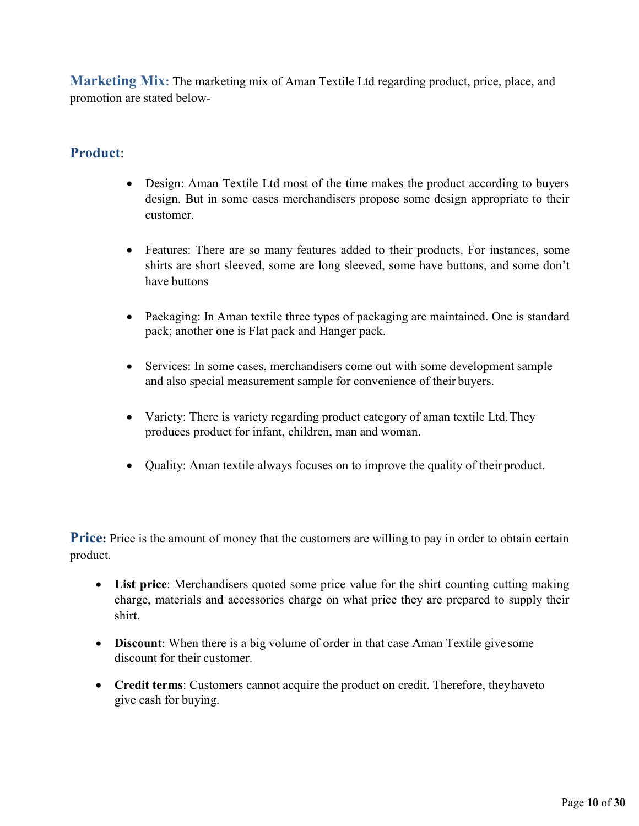**Marketing Mix:** The marketing mix of Aman Textile Ltd regarding product, price, place, and promotion are stated below-

## <span id="page-15-0"></span>**Product**:

- Design: Aman Textile Ltd most of the time makes the product according to buyers design. But in some cases merchandisers propose some design appropriate to their customer.
- Features: There are so many features added to their products. For instances, some shirts are short sleeved, some are long sleeved, some have buttons, and some don't have buttons
- Packaging: In Aman textile three types of packaging are maintained. One is standard pack; another one is Flat pack and Hanger pack.
- Services: In some cases, merchandisers come out with some development sample and also special measurement sample for convenience of their buyers.
- Variety: There is variety regarding product category of aman textile Ltd. They produces product for infant, children, man and woman.
- Quality: Aman textile always focuses on to improve the quality of their product.

**Price**: Price is the amount of money that the customers are willing to pay in order to obtain certain product.

- **List price**: Merchandisers quoted some price value for the shirt counting cutting making charge, materials and accessories charge on what price they are prepared to supply their shirt.
- **Discount**: When there is a big volume of order in that case Aman Textile give some discount for their customer.
- **Credit terms**: Customers cannot acquire the product on credit. Therefore, they haveto give cash for buying.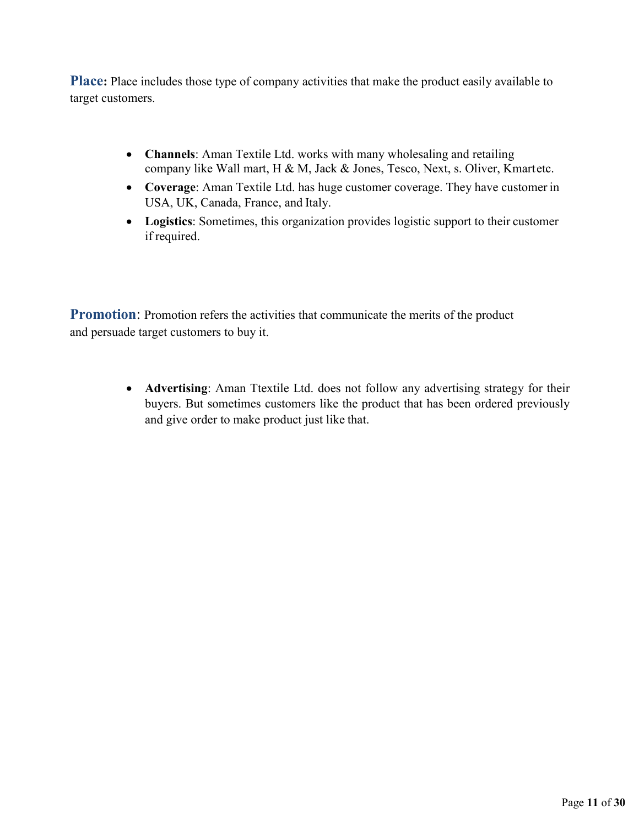**Place:** Place includes those type of company activities that make the product easily available to target customers.

- **Channels**: Aman Textile Ltd. works with many wholesaling and retailing company like Wall mart, H & M, Jack & Jones, Tesco, Next, s. Oliver, Kmartetc.
- **Coverage**: Aman Textile Ltd. has huge customer coverage. They have customer in USA, UK, Canada, France, and Italy.
- **Logistics**: Sometimes, this organization provides logistic support to their customer if required.

**Promotion:** Promotion refers the activities that communicate the merits of the product and persuade target customers to buy it.

> **Advertising**: Aman Ttextile Ltd. does not follow any advertising strategy for their buyers. But sometimes customers like the product that has been ordered previously and give order to make product just like that.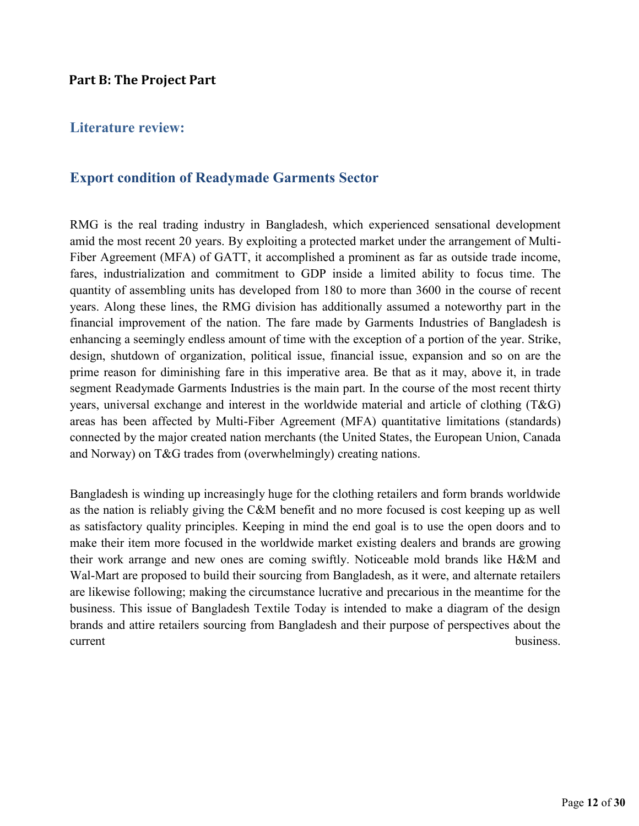#### <span id="page-17-0"></span>**Part B: The Project Part**

### <span id="page-17-1"></span>**Literature review:**

#### <span id="page-17-2"></span>**Export condition of Readymade Garments Sector**

RMG is the real trading industry in Bangladesh, which experienced sensational development amid the most recent 20 years. By exploiting a protected market under the arrangement of Multi-Fiber Agreement (MFA) of GATT, it accomplished a prominent as far as outside trade income, fares, industrialization and commitment to GDP inside a limited ability to focus time. The quantity of assembling units has developed from 180 to more than 3600 in the course of recent years. Along these lines, the RMG division has additionally assumed a noteworthy part in the financial improvement of the nation. The fare made by Garments Industries of Bangladesh is enhancing a seemingly endless amount of time with the exception of a portion of the year. Strike, design, shutdown of organization, political issue, financial issue, expansion and so on are the prime reason for diminishing fare in this imperative area. Be that as it may, above it, in trade segment Readymade Garments Industries is the main part. In the course of the most recent thirty years, universal exchange and interest in the worldwide material and article of clothing (T&G) areas has been affected by Multi-Fiber Agreement (MFA) quantitative limitations (standards) connected by the major created nation merchants (the United States, the European Union, Canada and Norway) on T&G trades from (overwhelmingly) creating nations.

Bangladesh is winding up increasingly huge for the clothing retailers and form brands worldwide as the nation is reliably giving the C&M benefit and no more focused is cost keeping up as well as satisfactory quality principles. Keeping in mind the end goal is to use the open doors and to make their item more focused in the worldwide market existing dealers and brands are growing their work arrange and new ones are coming swiftly. Noticeable mold brands like H&M and Wal-Mart are proposed to build their sourcing from Bangladesh, as it were, and alternate retailers are likewise following; making the circumstance lucrative and precarious in the meantime for the business. This issue of Bangladesh Textile Today is intended to make a diagram of the design brands and attire retailers sourcing from Bangladesh and their purpose of perspectives about the current business.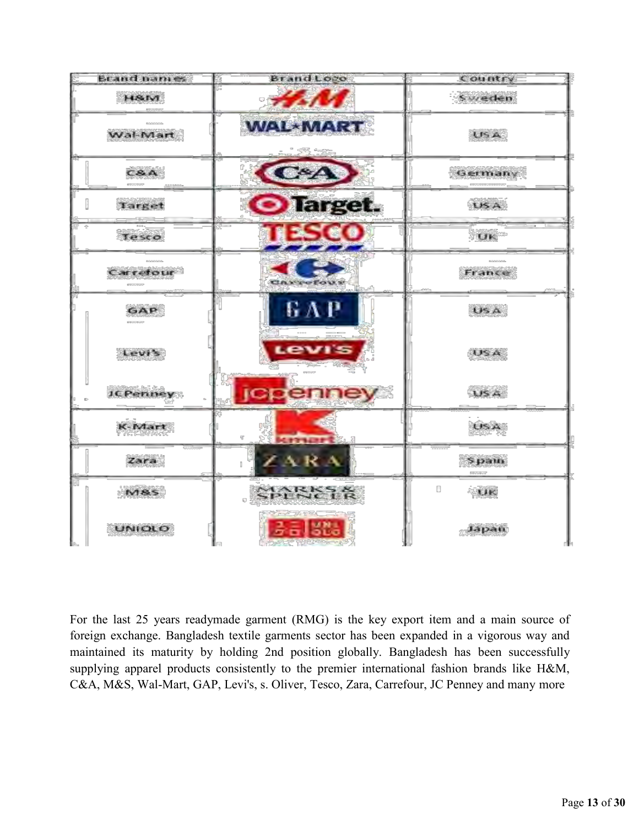

For the last 25 years readymade garment (RMG) is the key export item and a main source of foreign exchange. Bangladesh textile garments sector has been expanded in a vigorous way and maintained its maturity by holding 2nd position globally. Bangladesh has been successfully supplying apparel products consistently to the premier international fashion brands like H&M, C&A, M&S, Wal-Mart, GAP, Levi's, s. Oliver, Tesco, Zara, Carrefour, JC Penney and many more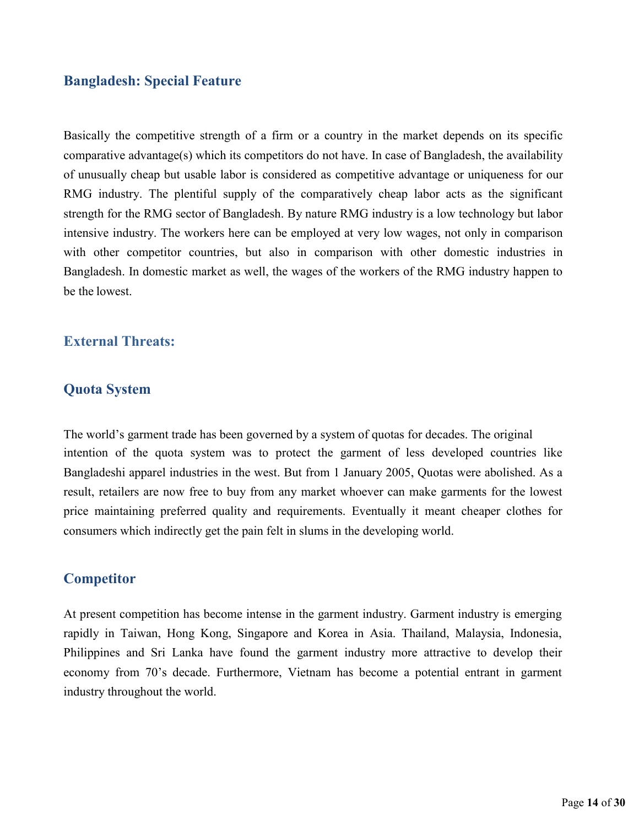#### <span id="page-19-0"></span>**Bangladesh: Special Feature**

Basically the competitive strength of a firm or a country in the market depends on its specific comparative advantage(s) which its competitors do not have. In case of Bangladesh, the availability of unusually cheap but usable labor is considered as competitive advantage or uniqueness for our RMG industry. The plentiful supply of the comparatively cheap labor acts as the significant strength for the RMG sector of Bangladesh. By nature RMG industry is a low technology but labor intensive industry. The workers here can be employed at very low wages, not only in comparison with other competitor countries, but also in comparison with other domestic industries in Bangladesh. In domestic market as well, the wages of the workers of the RMG industry happen to be the lowest.

#### **External Threats:**

#### **Quota System**

The world's garment trade has been governed by a system of quotas for decades. The original intention of the quota system was to protect the garment of less developed countries like Bangladeshi apparel industries in the west. But from 1 January 2005, Quotas were abolished. As a result, retailers are now free to buy from any market whoever can make garments for the lowest price maintaining preferred quality and requirements. Eventually it meant cheaper clothes for consumers which indirectly get the pain felt in slums in the developing world.

#### <span id="page-19-1"></span>**Competitor**

At present competition has become intense in the garment industry. Garment industry is emerging rapidly in Taiwan, Hong Kong, Singapore and Korea in Asia. Thailand, Malaysia, Indonesia, Philippines and Sri Lanka have found the garment industry more attractive to develop their economy from 70's decade. Furthermore, Vietnam has become a potential entrant in garment industry throughout the world.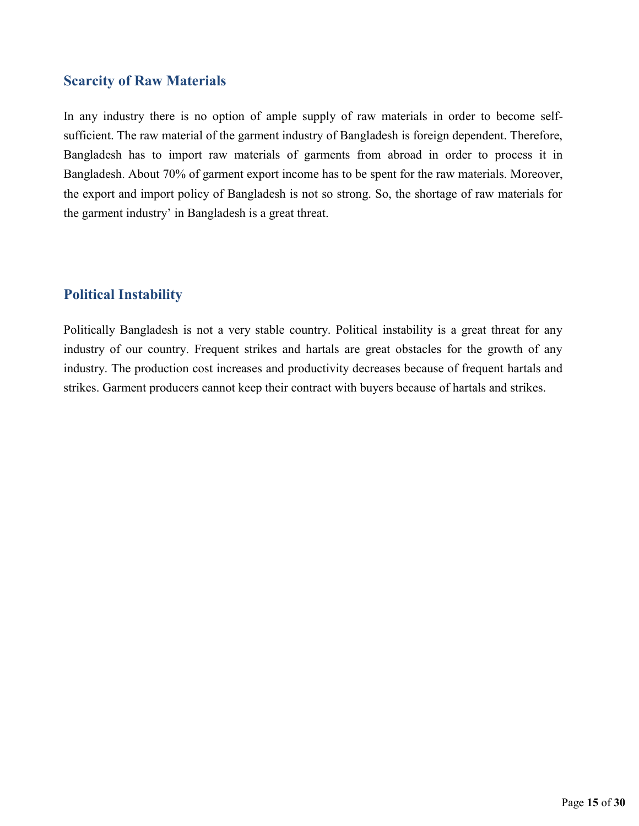#### <span id="page-20-0"></span>**Scarcity of Raw Materials**

In any industry there is no option of ample supply of raw materials in order to become selfsufficient. The raw material of the garment industry of Bangladesh is foreign dependent. Therefore, Bangladesh has to import raw materials of garments from abroad in order to process it in Bangladesh. About 70% of garment export income has to be spent for the raw materials. Moreover, the export and import policy of Bangladesh is not so strong. So, the shortage of raw materials for the garment industry' in Bangladesh is a great threat.

## <span id="page-20-1"></span>**Political Instability**

Politically Bangladesh is not a very stable country. Political instability is a great threat for any industry of our country. Frequent strikes and hartals are great obstacles for the growth of any industry. The production cost increases and productivity decreases because of frequent hartals and strikes. Garment producers cannot keep their contract with buyers because of hartals and strikes.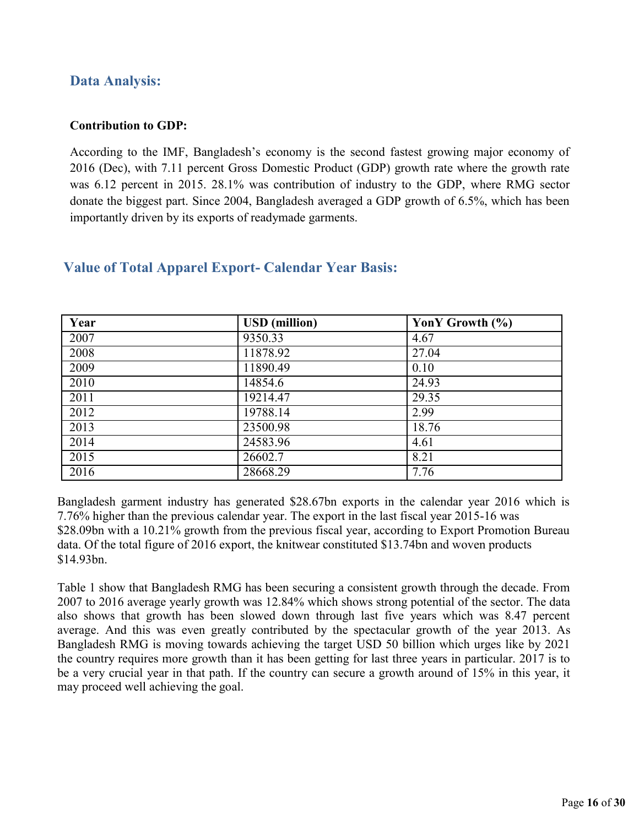## <span id="page-21-0"></span>**Data Analysis:**

#### **Contribution to GDP:**

According to the IMF, Bangladesh's economy is the second fastest growing major economy of 2016 (Dec), with 7.11 percent Gross Domestic Product (GDP) growth rate where the growth rate was 6.12 percent in 2015. 28.1% was contribution of industry to the GDP, where RMG sector donate the biggest part. Since 2004, Bangladesh averaged a GDP growth of 6.5%, which has been importantly driven by its exports of readymade garments.

| Year | <b>USD</b> (million) | YonY Growth (%) |
|------|----------------------|-----------------|
| 2007 | 9350.33              | 4.67            |
| 2008 | 11878.92             | 27.04           |
| 2009 | 11890.49             | 0.10            |
| 2010 | 14854.6              | 24.93           |
| 2011 | 19214.47             | 29.35           |
| 2012 | 19788.14             | 2.99            |
| 2013 | 23500.98             | 18.76           |
| 2014 | 24583.96             | 4.61            |
| 2015 | 26602.7              | 8.21            |
| 2016 | 28668.29             | 7.76            |

#### <span id="page-21-1"></span>**Value of Total Apparel Export- Calendar Year Basis:**

Bangladesh garment industry has generated \$28.67bn exports in the calendar year 2016 which is 7.76% higher than the previous calendar year. The export in the last fiscal year 2015-16 was \$28.09bn with a 10.21% growth from the previous fiscal year, according to Export Promotion Bureau data. Of the total figure of 2016 export, the knitwear constituted \$13.74bn and woven products \$14.93bn.

Table 1 show that Bangladesh RMG has been securing a consistent growth through the decade. From 2007 to 2016 average yearly growth was 12.84% which shows strong potential of the sector. The data also shows that growth has been slowed down through last five years which was 8.47 percent average. And this was even greatly contributed by the spectacular growth of the year 2013. As Bangladesh RMG is moving towards achieving the target USD 50 billion which urges like by 2021 the country requires more growth than it has been getting for last three years in particular. 2017 is to be a very crucial year in that path. If the country can secure a growth around of 15% in this year, it may proceed well achieving the goal.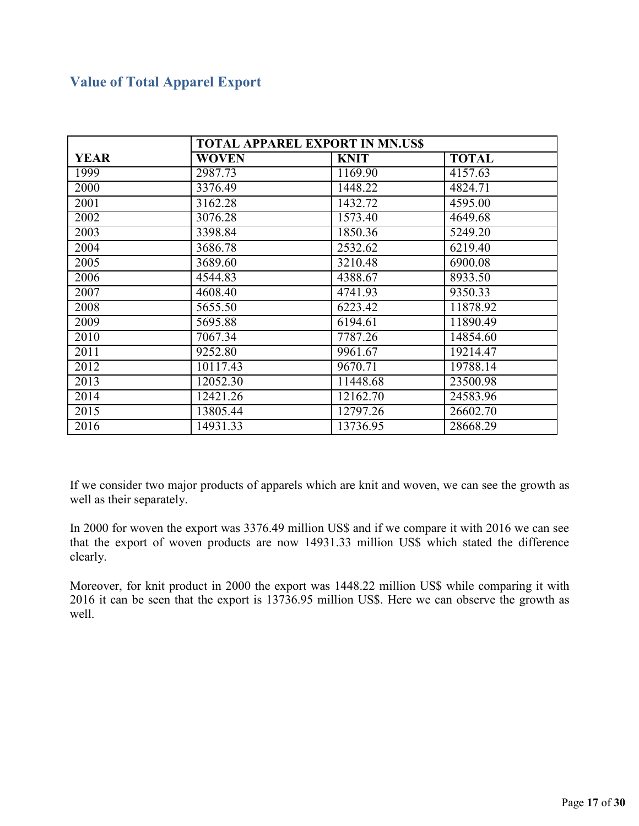## <span id="page-22-0"></span>**Value of Total Apparel Export**

| <b>TOTAL APPAREL EXPORT IN MN.USS</b> |              |             |              |
|---------------------------------------|--------------|-------------|--------------|
| <b>YEAR</b>                           | <b>WOVEN</b> | <b>KNIT</b> | <b>TOTAL</b> |
| 1999                                  | 2987.73      | 1169.90     | 4157.63      |
| 2000                                  | 3376.49      | 1448.22     | 4824.71      |
| 2001                                  | 3162.28      | 1432.72     | 4595.00      |
| 2002                                  | 3076.28      | 1573.40     | 4649.68      |
| 2003                                  | 3398.84      | 1850.36     | 5249.20      |
| 2004                                  | 3686.78      | 2532.62     | 6219.40      |
| 2005                                  | 3689.60      | 3210.48     | 6900.08      |
| 2006                                  | 4544.83      | 4388.67     | 8933.50      |
| 2007                                  | 4608.40      | 4741.93     | 9350.33      |
| 2008                                  | 5655.50      | 6223.42     | 11878.92     |
| 2009                                  | 5695.88      | 6194.61     | 11890.49     |
| 2010                                  | 7067.34      | 7787.26     | 14854.60     |
| 2011                                  | 9252.80      | 9961.67     | 19214.47     |
| 2012                                  | 10117.43     | 9670.71     | 19788.14     |
| 2013                                  | 12052.30     | 11448.68    | 23500.98     |
| 2014                                  | 12421.26     | 12162.70    | 24583.96     |
| 2015                                  | 13805.44     | 12797.26    | 26602.70     |
| 2016                                  | 14931.33     | 13736.95    | 28668.29     |

If we consider two major products of apparels which are knit and woven, we can see the growth as well as their separately.

In 2000 for woven the export was 3376.49 million US\$ and if we compare it with 2016 we can see that the export of woven products are now 14931.33 million US\$ which stated the difference clearly.

Moreover, for knit product in 2000 the export was 1448.22 million US\$ while comparing it with 2016 it can be seen that the export is 13736.95 million US\$. Here we can observe the growth as well.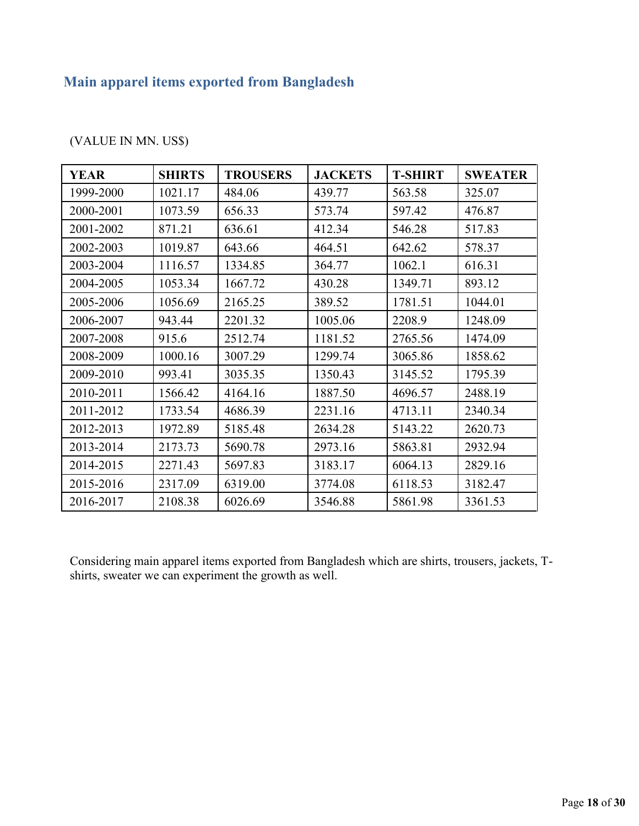## <span id="page-23-0"></span>**Main apparel items exported from Bangladesh**

| <b>YEAR</b> | <b>SHIRTS</b> | <b>TROUSERS</b> | <b>JACKETS</b> | <b>T-SHIRT</b> | <b>SWEATER</b> |
|-------------|---------------|-----------------|----------------|----------------|----------------|
| 1999-2000   | 1021.17       | 484.06          | 439.77         | 563.58         | 325.07         |
| 2000-2001   | 1073.59       | 656.33          | 573.74         | 597.42         | 476.87         |
| 2001-2002   | 871.21        | 636.61          | 412.34         | 546.28         | 517.83         |
| 2002-2003   | 1019.87       | 643.66          | 464.51         | 642.62         | 578.37         |
| 2003-2004   | 1116.57       | 1334.85         | 364.77         | 1062.1         | 616.31         |
| 2004-2005   | 1053.34       | 1667.72         | 430.28         | 1349.71        | 893.12         |
| 2005-2006   | 1056.69       | 2165.25         | 389.52         | 1781.51        | 1044.01        |
| 2006-2007   | 943.44        | 2201.32         | 1005.06        | 2208.9         | 1248.09        |
| 2007-2008   | 915.6         | 2512.74         | 1181.52        | 2765.56        | 1474.09        |
| 2008-2009   | 1000.16       | 3007.29         | 1299.74        | 3065.86        | 1858.62        |
| 2009-2010   | 993.41        | 3035.35         | 1350.43        | 3145.52        | 1795.39        |
| 2010-2011   | 1566.42       | 4164.16         | 1887.50        | 4696.57        | 2488.19        |
| 2011-2012   | 1733.54       | 4686.39         | 2231.16        | 4713.11        | 2340.34        |
| 2012-2013   | 1972.89       | 5185.48         | 2634.28        | 5143.22        | 2620.73        |
| 2013-2014   | 2173.73       | 5690.78         | 2973.16        | 5863.81        | 2932.94        |
| 2014-2015   | 2271.43       | 5697.83         | 3183.17        | 6064.13        | 2829.16        |
| 2015-2016   | 2317.09       | 6319.00         | 3774.08        | 6118.53        | 3182.47        |
| 2016-2017   | 2108.38       | 6026.69         | 3546.88        | 5861.98        | 3361.53        |

(VALUE IN MN. US\$)

Considering main apparel items exported from Bangladesh which are shirts, trousers, jackets, Tshirts, sweater we can experiment the growth as well.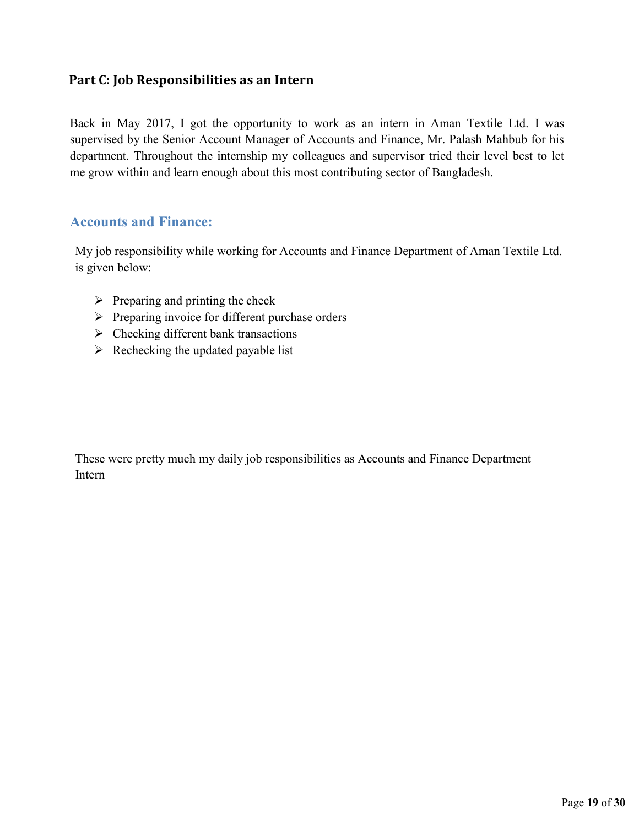## <span id="page-24-0"></span>**Part C: Job Responsibilities as an Intern**

Back in May 2017, I got the opportunity to work as an intern in Aman Textile Ltd. I was supervised by the Senior Account Manager of Accounts and Finance, Mr. Palash Mahbub for his department. Throughout the internship my colleagues and supervisor tried their level best to let me grow within and learn enough about this most contributing sector of Bangladesh.

## <span id="page-24-1"></span>**Accounts and Finance:**

My job responsibility while working for Accounts and Finance Department of Aman Textile Ltd. is given below:

- $\triangleright$  Preparing and printing the check
- $\triangleright$  Preparing invoice for different purchase orders
- $\triangleright$  Checking different bank transactions
- $\triangleright$  Rechecking the updated payable list

These were pretty much my daily job responsibilities as Accounts and Finance Department Intern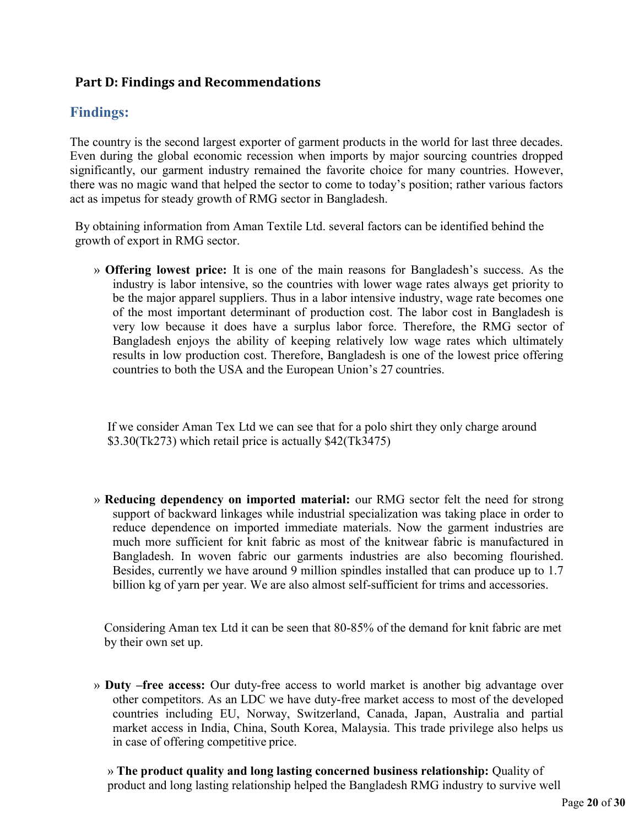## <span id="page-25-0"></span>**Part D: Findings and Recommendations**

## <span id="page-25-1"></span>**Findings:**

The country is the second largest exporter of garment products in the world for last three decades. Even during the global economic recession when imports by major sourcing countries dropped significantly, our garment industry remained the favorite choice for many countries. However, there was no magic wand that helped the sector to come to today's position; rather various factors act as impetus for steady growth of RMG sector in Bangladesh.

By obtaining information from Aman Textile Ltd. several factors can be identified behind the growth of export in RMG sector.

» **Offering lowest price:** It is one of the main reasons for Bangladesh's success. As the industry is labor intensive, so the countries with lower wage rates always get priority to be the major apparel suppliers. Thus in a labor intensive industry, wage rate becomes one of the most important determinant of production cost. The labor cost in Bangladesh is very low because it does have a surplus labor force. Therefore, the RMG sector of Bangladesh enjoys the ability of keeping relatively low wage rates which ultimately results in low production cost. Therefore, Bangladesh is one of the lowest price offering countries to both the USA and the European Union's 27 countries.

If we consider Aman Tex Ltd we can see that for a polo shirt they only charge around \$3.30(Tk273) which retail price is actually \$42(Tk3475)

» **Reducing dependency on imported material:** our RMG sector felt the need for strong support of backward linkages while industrial specialization was taking place in order to reduce dependence on imported immediate materials. Now the garment industries are much more sufficient for knit fabric as most of the knitwear fabric is manufactured in Bangladesh. In woven fabric our garments industries are also becoming flourished. Besides, currently we have around 9 million spindles installed that can produce up to 1.7 billion kg of yarn per year. We are also almost self-sufficient for trims and accessories.

Considering Aman tex Ltd it can be seen that 80-85% of the demand for knit fabric are met by their own set up.

» **Duty –free access:** Our duty-free access to world market is another big advantage over other competitors. As an LDC we have duty-free market access to most of the developed countries including EU, Norway, Switzerland, Canada, Japan, Australia and partial market access in India, China, South Korea, Malaysia. This trade privilege also helps us in case of offering competitive price.

» **The product quality and long lasting concerned business relationship:** Quality of product and long lasting relationship helped the Bangladesh RMG industry to survive well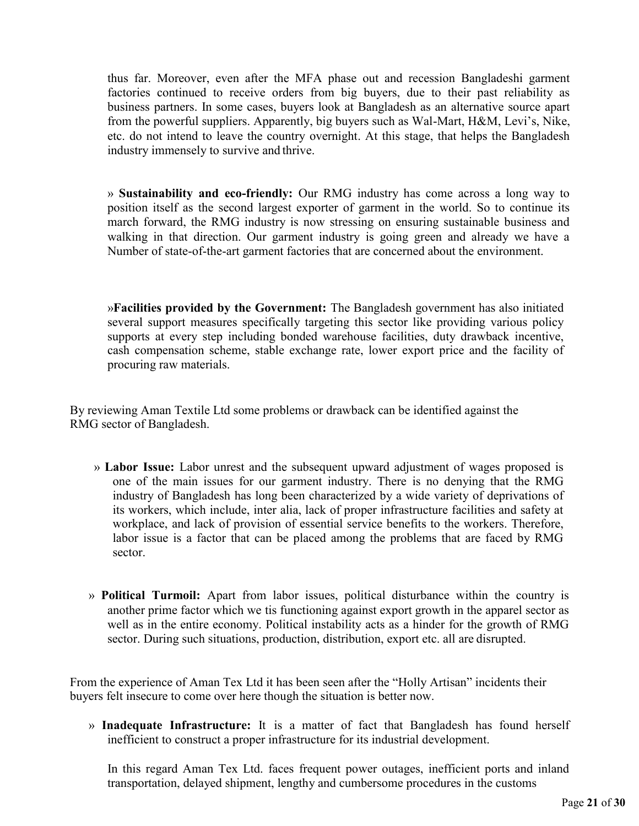thus far. Moreover, even after the MFA phase out and recession Bangladeshi garment factories continued to receive orders from big buyers, due to their past reliability as business partners. In some cases, buyers look at Bangladesh as an alternative source apart from the powerful suppliers. Apparently, big buyers such as Wal-Mart, H&M, Levi's, Nike, etc. do not intend to leave the country overnight. At this stage, that helps the Bangladesh industry immensely to survive and thrive.

» **Sustainability and eco-friendly:** Our RMG industry has come across a long way to position itself as the second largest exporter of garment in the world. So to continue its march forward, the RMG industry is now stressing on ensuring sustainable business and walking in that direction. Our garment industry is going green and already we have a Number of state-of-the-art garment factories that are concerned about the environment.

»**Facilities provided by the Government:** The Bangladesh government has also initiated several support measures specifically targeting this sector like providing various policy supports at every step including bonded warehouse facilities, duty drawback incentive, cash compensation scheme, stable exchange rate, lower export price and the facility of procuring raw materials.

By reviewing Aman Textile Ltd some problems or drawback can be identified against the RMG sector of Bangladesh.

- » **Labor Issue:** Labor unrest and the subsequent upward adjustment of wages proposed is one of the main issues for our garment industry. There is no denying that the RMG industry of Bangladesh has long been characterized by a wide variety of deprivations of its workers, which include, inter alia, lack of proper infrastructure facilities and safety at workplace, and lack of provision of essential service benefits to the workers. Therefore, labor issue is a factor that can be placed among the problems that are faced by RMG sector.
- » **Political Turmoil:** Apart from labor issues, political disturbance within the country is another prime factor which we tis functioning against export growth in the apparel sector as well as in the entire economy. Political instability acts as a hinder for the growth of RMG sector. During such situations, production, distribution, export etc. all are disrupted.

From the experience of Aman Tex Ltd it has been seen after the "Holly Artisan" incidents their buyers felt insecure to come over here though the situation is better now.

» **Inadequate Infrastructure:** It is a matter of fact that Bangladesh has found herself inefficient to construct a proper infrastructure for its industrial development.

In this regard Aman Tex Ltd. faces frequent power outages, inefficient ports and inland transportation, delayed shipment, lengthy and cumbersome procedures in the customs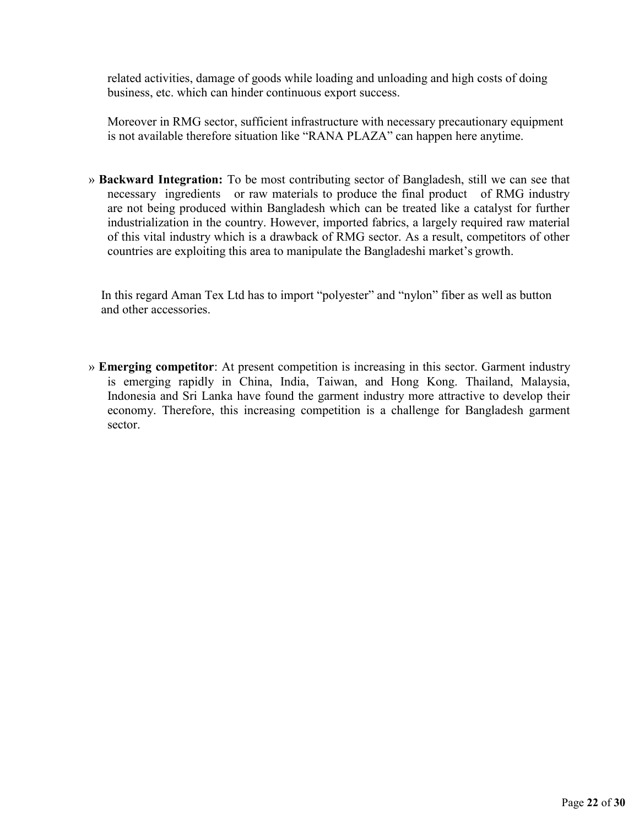related activities, damage of goods while loading and unloading and high costs of doing business, etc. which can hinder continuous export success.

Moreover in RMG sector, sufficient infrastructure with necessary precautionary equipment is not available therefore situation like "RANA PLAZA" can happen here anytime.

» **Backward Integration:** To be most contributing sector of Bangladesh, still we can see that necessary ingredients or raw materials to produce the final product of RMG industry are not being produced within Bangladesh which can be treated like a catalyst for further industrialization in the country. However, imported fabrics, a largely required raw material of this vital industry which is a drawback of RMG sector. As a result, competitors of other countries are exploiting this area to manipulate the Bangladeshi market's growth.

In this regard Aman Tex Ltd has to import "polyester" and "nylon" fiber as well as button and other accessories.

» **Emerging competitor**: At present competition is increasing in this sector. Garment industry is emerging rapidly in China, India, Taiwan, and Hong Kong. Thailand, Malaysia, Indonesia and Sri Lanka have found the garment industry more attractive to develop their economy. Therefore, this increasing competition is a challenge for Bangladesh garment sector.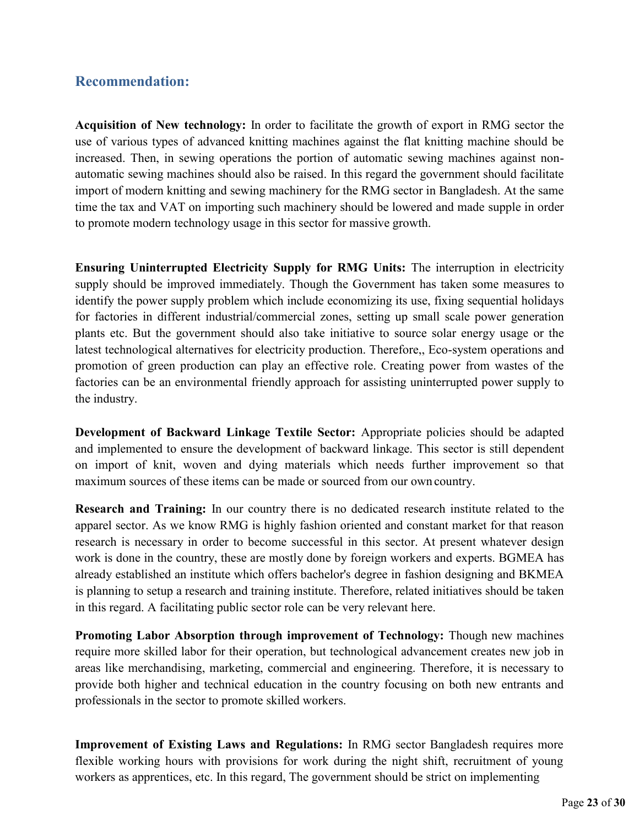## <span id="page-28-0"></span>**Recommendation:**

**Acquisition of New technology:** In order to facilitate the growth of export in RMG sector the use of various types of advanced knitting machines against the flat knitting machine should be increased. Then, in sewing operations the portion of automatic sewing machines against nonautomatic sewing machines should also be raised. In this regard the government should facilitate import of modern knitting and sewing machinery for the RMG sector in Bangladesh. At the same time the tax and VAT on importing such machinery should be lowered and made supple in order to promote modern technology usage in this sector for massive growth.

**Ensuring Uninterrupted Electricity Supply for RMG Units:** The interruption in electricity supply should be improved immediately. Though the Government has taken some measures to identify the power supply problem which include economizing its use, fixing sequential holidays for factories in different industrial/commercial zones, setting up small scale power generation plants etc. But the government should also take initiative to source solar energy usage or the latest technological alternatives for electricity production. Therefore,, Eco-system operations and promotion of green production can play an effective role. Creating power from wastes of the factories can be an environmental friendly approach for assisting uninterrupted power supply to the industry.

**Development of Backward Linkage Textile Sector:** Appropriate policies should be adapted and implemented to ensure the development of backward linkage. This sector is still dependent on import of knit, woven and dying materials which needs further improvement so that maximum sources of these items can be made or sourced from our own country.

**Research and Training:** In our country there is no dedicated research institute related to the apparel sector. As we know RMG is highly fashion oriented and constant market for that reason research is necessary in order to become successful in this sector. At present whatever design work is done in the country, these are mostly done by foreign workers and experts. BGMEA has already established an institute which offers bachelor's degree in fashion designing and BKMEA is planning to setup a research and training institute. Therefore, related initiatives should be taken in this regard. A facilitating public sector role can be very relevant here.

**Promoting Labor Absorption through improvement of Technology:** Though new machines require more skilled labor for their operation, but technological advancement creates new job in areas like merchandising, marketing, commercial and engineering. Therefore, it is necessary to provide both higher and technical education in the country focusing on both new entrants and professionals in the sector to promote skilled workers.

**Improvement of Existing Laws and Regulations:** In RMG sector Bangladesh requires more flexible working hours with provisions for work during the night shift, recruitment of young workers as apprentices, etc. In this regard, The government should be strict on implementing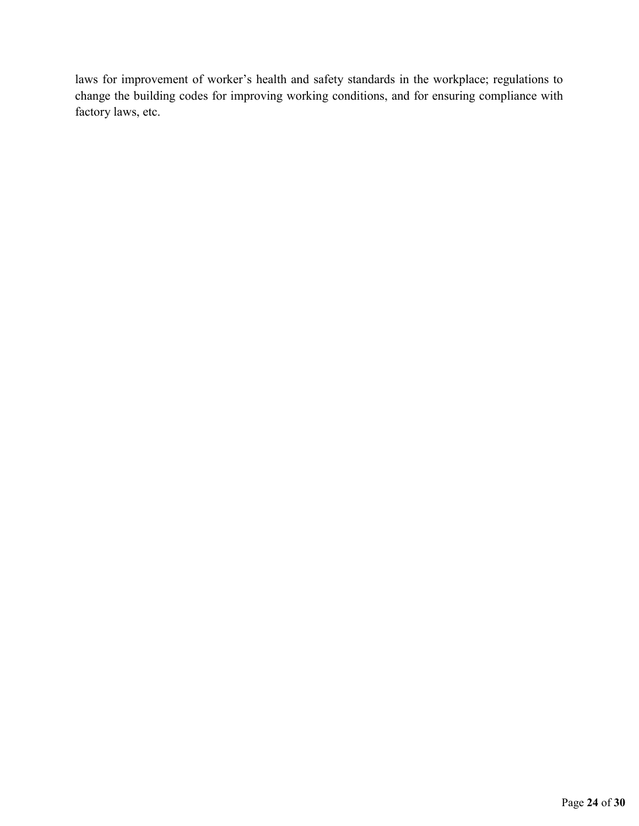laws for improvement of worker's health and safety standards in the workplace; regulations to change the building codes for improving working conditions, and for ensuring compliance with factory laws, etc.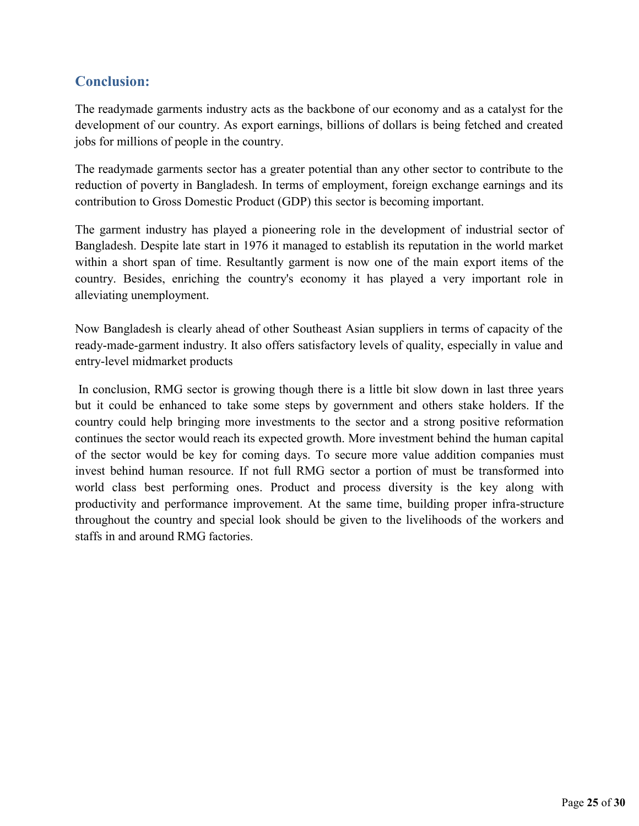## <span id="page-30-0"></span>**Conclusion:**

The readymade garments industry acts as the backbone of our economy and as a catalyst for the development of our country. As export earnings, billions of dollars is being fetched and created jobs for millions of people in the country.

The readymade garments sector has a greater potential than any other sector to contribute to the reduction of poverty in Bangladesh. In terms of employment, foreign exchange earnings and its contribution to Gross Domestic Product (GDP) this sector is becoming important.

The garment industry has played a pioneering role in the development of industrial sector of Bangladesh. Despite late start in 1976 it managed to establish its reputation in the world market within a short span of time. Resultantly garment is now one of the main export items of the country. Besides, enriching the country's economy it has played a very important role in alleviating unemployment.

Now Bangladesh is clearly ahead of other Southeast Asian suppliers in terms of capacity of the ready-made-garment industry. It also offers satisfactory levels of quality, especially in value and entry-level midmarket products

In conclusion, RMG sector is growing though there is a little bit slow down in last three years but it could be enhanced to take some steps by government and others stake holders. If the country could help bringing more investments to the sector and a strong positive reformation continues the sector would reach its expected growth. More investment behind the human capital of the sector would be key for coming days. To secure more value addition companies must invest behind human resource. If not full RMG sector a portion of must be transformed into world class best performing ones. Product and process diversity is the key along with productivity and performance improvement. At the same time, building proper infra-structure throughout the country and special look should be given to the livelihoods of the workers and staffs in and around RMG factories.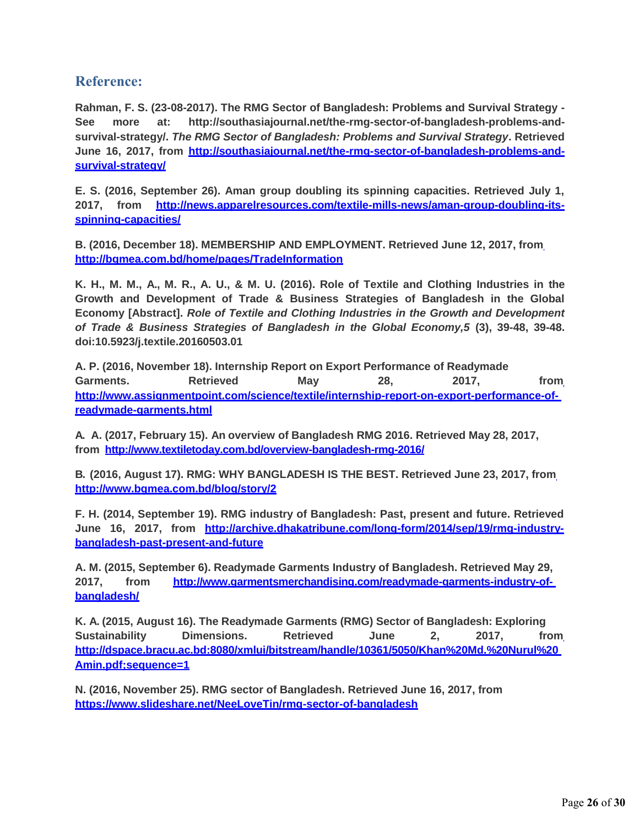## <span id="page-31-0"></span>**Reference:**

**Rahman, F. S. (23-08-2017). The RMG Sector of Bangladesh: Problems and Survival Strategy - See more at: [http://southasiajournal.net/the-rmg-sector-of-bangladesh-problems-and](http://southasiajournal.net/the-rmg-sector-of-bangladesh-problems-and-)survival-strategy/.** *The RMG Sector of Bangladesh: Problems and Survival Strategy***. Retrieved June 16, 2017, from [http://southasiajournal.net/the-rmg-sector-of-bangladesh-problems-and](http://southasiajournal.net/the-rmg-sector-of-bangladesh-problems-and-)survival-strategy/**

**E. S. (2016, September 26). Aman group doubling its spinning capacities. Retrieved July 1, 2017, from [http://news.apparelresources.com/textile-mills-news/aman-group-doubling-its](http://news.apparelresources.com/textile-mills-news/aman-group-doubling-its-)spinning-capacities/**

**B. (2016, December 18). MEMBERSHIP AND EMPLOYMENT. Retrieved June 12, 2017, from <http://bgmea.com.bd/home/pages/TradeInformation>**

**K. H., M. M., A., M. R., A. U., & M. U. (2016). Role of Textile and Clothing Industries in the Growth and Development of Trade & Business Strategies of Bangladesh in the Global Economy [Abstract].** *Role of Textile and Clothing Industries in the Growth and Development of Trade & Business Strategies of Bangladesh in the Global Economy,5* **(3), 39-48, 39-48. doi:10.5923/j.textile.20160503.01**

**A. P. (2016, November 18). Internship Report on Export Performance of Readymade Garments. Retrieved May 28, 2017, from [http://www.assignmentpoint.com/science/textile/internship-report-on-export-performance-of](http://www.assignmentpoint.com/science/textile/internship-report-on-export-performance-of-)readymade-garments.html**

**A. A. (2017, February 15). An overview of Bangladesh RMG 2016. Retrieved May 28, 2017, from <http://www.textiletoday.com.bd/overview-bangladesh-rmg-2016/>**

**B. (2016, August 17). RMG: WHY BANGLADESH IS THE BEST. Retrieved June 23, 2017, from <http://www.bgmea.com.bd/blog/story/2>**

**F. H. (2014, September 19). RMG industry of Bangladesh: Past, present and future. Retrieved June 16, 2017, from [http://archive.dhakatribune.com/long-form/2014/sep/19/rmg-industry](http://archive.dhakatribune.com/long-form/2014/sep/19/rmg-industry-)bangladesh-past-present-and-future**

**A. M. (2015, September 6). Readymade Garments Industry of Bangladesh. Retrieved May 29, 2017, from [http://www.garmentsmerchandising.com/readymade-garments-industry-of](http://www.garmentsmerchandising.com/readymade-garments-industry-of-)bangladesh/**

**K. A. (2015, August 16). The Readymade Garments (RMG) Sector of Bangladesh: Exploring Sustainability Dimensions. Retrieved June 2, 2017, from http://dspace.bracu.ac.bd:8080/xmlui/bitstream/handle/10361/5050/Khan%20Md.%20Nurul%20 Amin.pdf;sequence=1**

**N. (2016, November 25). RMG sector of Bangladesh. Retrieved June 16, 2017, from https[://www.slideshare.net/NeeLoveTin/rmg-sector-of-bangladesh](http://www.slideshare.net/NeeLoveTin/rmg-sector-of-bangladesh)**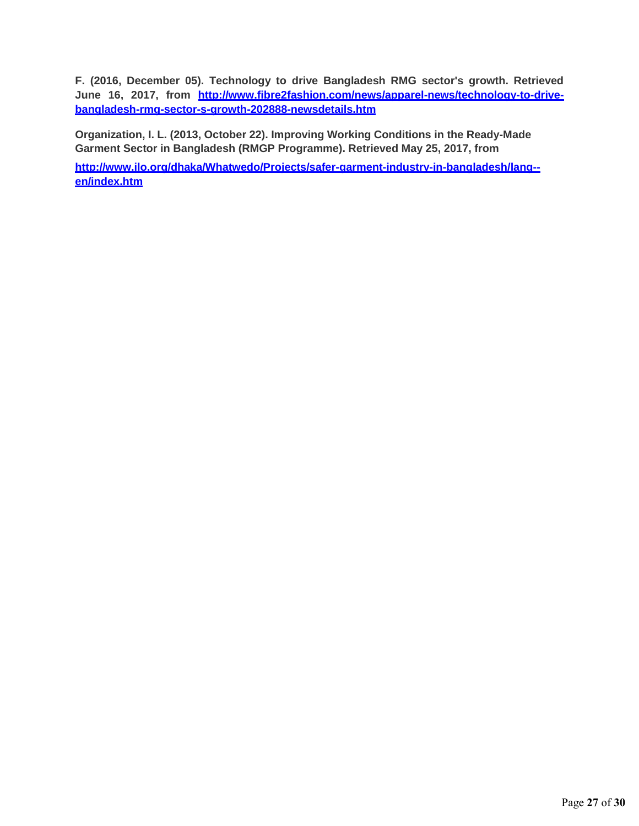**F. (2016, December 05). Technology to drive Bangladesh RMG sector's growth. Retrieved June 16, 2017, from [http://www.fibre2fashion.com/news/apparel-news/technology-to-drive](http://www.fibre2fashion.com/news/apparel-news/technology-to-drive-)bangladesh-rmg-sector-s-growth-202888-newsdetails.htm**

**Organization, I. L. (2013, October 22). Improving Working Conditions in the Ready-Made Garment Sector in Bangladesh (RMGP Programme). Retrieved May 25, 2017, from**

**[http://www.ilo.org/dhaka/Whatwedo/Projects/safer-garment-industry-in-bangladesh/lang-](http://www.ilo.org/dhaka/Whatwedo/Projects/safer-garment-industry-in-bangladesh/lang--%20en/index.htm) [en/index.htm](http://www.ilo.org/dhaka/Whatwedo/Projects/safer-garment-industry-in-bangladesh/lang--%20en/index.htm)**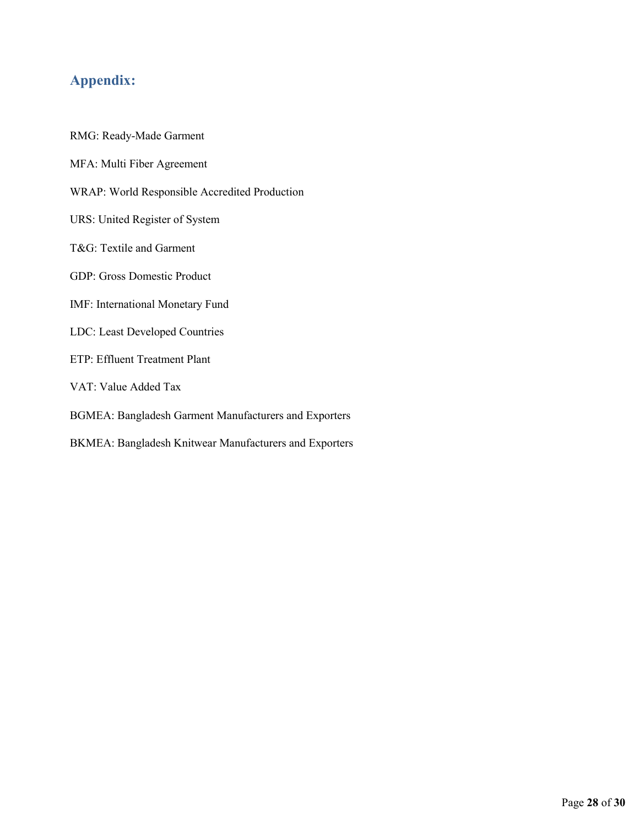## <span id="page-33-0"></span>**Appendix:**

RMG: Ready-Made Garment MFA: Multi Fiber Agreement WRAP: World Responsible Accredited Production URS: United Register of System T&G: Textile and Garment GDP: Gross Domestic Product IMF: International Monetary Fund LDC: Least Developed Countries ETP: Effluent Treatment Plant VAT: Value Added Tax BGMEA: Bangladesh Garment Manufacturers and Exporters BKMEA: Bangladesh Knitwear Manufacturers and Exporters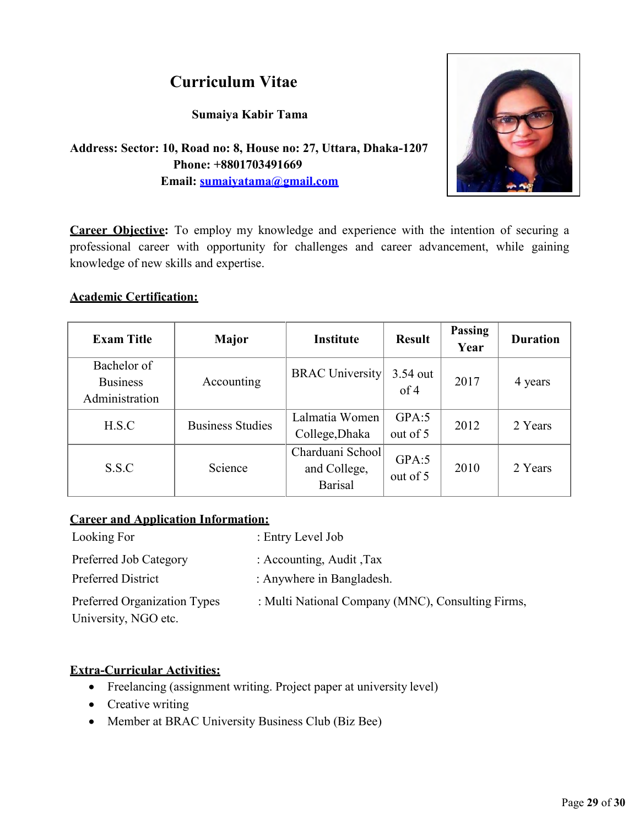## **Curriculum Vitae**

**Sumaiya Kabir Tama** 



**Address: Sector: 10, Road no: 8, House no: 27, Uttara, Dhaka-1207 Phone: +8801703491669 Email: [sumaiyatama@gmail.com](mailto:sumaiyatama@gmail.com)**

**Career Objective:** To employ my knowledge and experience with the intention of securing a professional career with opportunity for challenges and career advancement, while gaining knowledge of new skills and expertise.

#### **Academic Certification:**

| <b>Exam Title</b>                                | <b>Major</b>            | <b>Institute</b>                                   | <b>Result</b>     | Passing<br>Year | <b>Duration</b> |
|--------------------------------------------------|-------------------------|----------------------------------------------------|-------------------|-----------------|-----------------|
| Bachelor of<br><b>Business</b><br>Administration | Accounting              | <b>BRAC University</b>                             | 3.54 out<br>of 4  | 2017            | 4 years         |
| H.S.C                                            | <b>Business Studies</b> | Lalmatia Women<br>College, Dhaka                   | GPA:5<br>out of 5 | 2012            | 2 Years         |
| S.S.C                                            | Science                 | Charduani School<br>and College,<br><b>Barisal</b> | GPA:5<br>out of 5 | 2010            | 2 Years         |

#### **Career and Application Information:**

| Looking For                  | : Entry Level Job                                 |
|------------------------------|---------------------------------------------------|
| Preferred Job Category       | : Accounting, Audit, Tax                          |
| <b>Preferred District</b>    | : Anywhere in Bangladesh.                         |
| Preferred Organization Types | : Multi National Company (MNC), Consulting Firms, |
| University, NGO etc.         |                                                   |

#### **Extra-Curricular Activities:**

- Freelancing (assignment writing. Project paper at university level)
- Creative writing
- Member at BRAC University Business Club (Biz Bee)